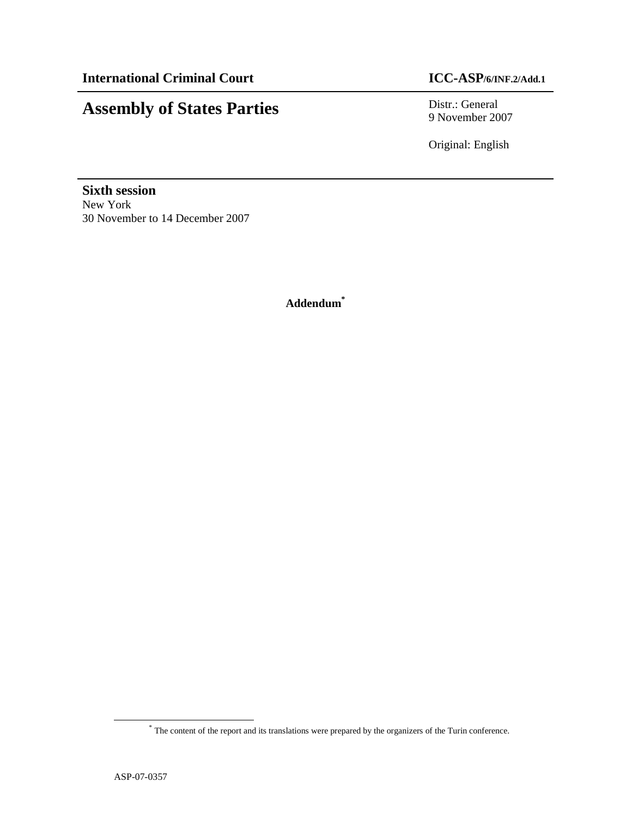# **Assembly of States Parties** Distr.: General

9 November 2007

Original: English

**Sixth session**  New York 30 November to 14 December 2007

**Addendum\***

<u>.</u>

<sup>\*</sup> The content of the report and its translations were prepared by the organizers of the Turin conference.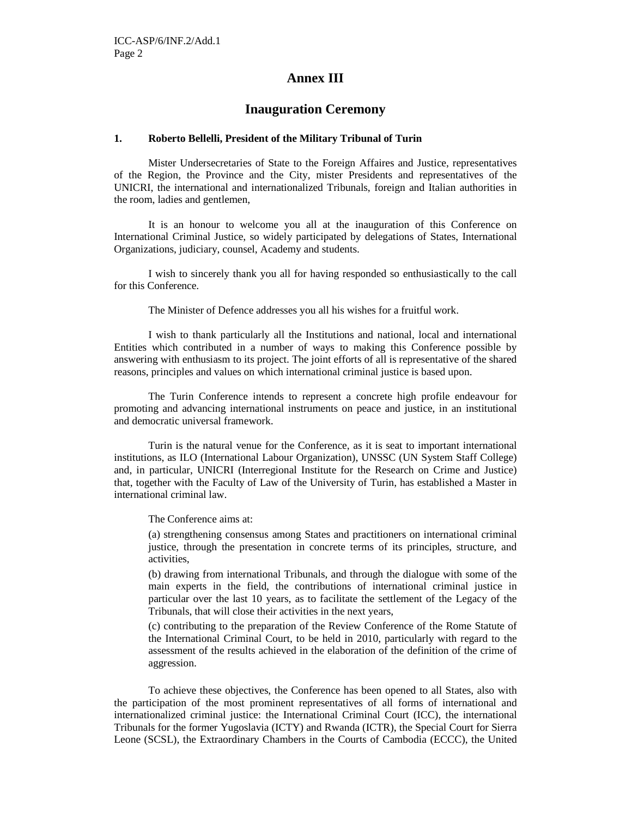# **Annex III**

# **Inauguration Ceremony**

#### **1. Roberto Bellelli, President of the Military Tribunal of Turin**

 Mister Undersecretaries of State to the Foreign Affaires and Justice, representatives of the Region, the Province and the City, mister Presidents and representatives of the UNICRI, the international and internationalized Tribunals, foreign and Italian authorities in the room, ladies and gentlemen,

It is an honour to welcome you all at the inauguration of this Conference on International Criminal Justice, so widely participated by delegations of States, International Organizations, judiciary, counsel, Academy and students.

 I wish to sincerely thank you all for having responded so enthusiastically to the call for this Conference.

The Minister of Defence addresses you all his wishes for a fruitful work.

I wish to thank particularly all the Institutions and national, local and international Entities which contributed in a number of ways to making this Conference possible by answering with enthusiasm to its project. The joint efforts of all is representative of the shared reasons, principles and values on which international criminal justice is based upon.

 The Turin Conference intends to represent a concrete high profile endeavour for promoting and advancing international instruments on peace and justice, in an institutional and democratic universal framework.

Turin is the natural venue for the Conference, as it is seat to important international institutions, as ILO (International Labour Organization), UNSSC (UN System Staff College) and, in particular, UNICRI (Interregional Institute for the Research on Crime and Justice) that, together with the Faculty of Law of the University of Turin, has established a Master in international criminal law.

The Conference aims at:

(a) strengthening consensus among States and practitioners on international criminal justice, through the presentation in concrete terms of its principles, structure, and activities,

(b) drawing from international Tribunals, and through the dialogue with some of the main experts in the field, the contributions of international criminal justice in particular over the last 10 years, as to facilitate the settlement of the Legacy of the Tribunals, that will close their activities in the next years,

(c) contributing to the preparation of the Review Conference of the Rome Statute of the International Criminal Court, to be held in 2010, particularly with regard to the assessment of the results achieved in the elaboration of the definition of the crime of aggression.

To achieve these objectives, the Conference has been opened to all States, also with the participation of the most prominent representatives of all forms of international and internationalized criminal justice: the International Criminal Court (ICC), the international Tribunals for the former Yugoslavia (ICTY) and Rwanda (ICTR), the Special Court for Sierra Leone (SCSL), the Extraordinary Chambers in the Courts of Cambodia (ECCC), the United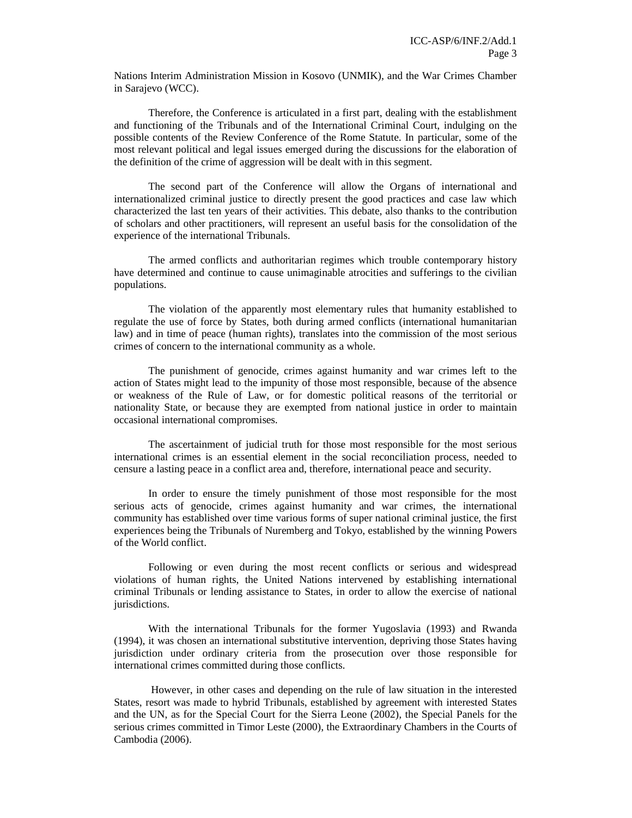Nations Interim Administration Mission in Kosovo (UNMIK), and the War Crimes Chamber in Sarajevo (WCC).

 Therefore, the Conference is articulated in a first part, dealing with the establishment and functioning of the Tribunals and of the International Criminal Court, indulging on the possible contents of the Review Conference of the Rome Statute. In particular, some of the most relevant political and legal issues emerged during the discussions for the elaboration of the definition of the crime of aggression will be dealt with in this segment.

The second part of the Conference will allow the Organs of international and internationalized criminal justice to directly present the good practices and case law which characterized the last ten years of their activities. This debate, also thanks to the contribution of scholars and other practitioners, will represent an useful basis for the consolidation of the experience of the international Tribunals.

 The armed conflicts and authoritarian regimes which trouble contemporary history have determined and continue to cause unimaginable atrocities and sufferings to the civilian populations.

The violation of the apparently most elementary rules that humanity established to regulate the use of force by States, both during armed conflicts (international humanitarian law) and in time of peace (human rights), translates into the commission of the most serious crimes of concern to the international community as a whole.

The punishment of genocide, crimes against humanity and war crimes left to the action of States might lead to the impunity of those most responsible, because of the absence or weakness of the Rule of Law, or for domestic political reasons of the territorial or nationality State, or because they are exempted from national justice in order to maintain occasional international compromises.

 The ascertainment of judicial truth for those most responsible for the most serious international crimes is an essential element in the social reconciliation process, needed to censure a lasting peace in a conflict area and, therefore, international peace and security.

 In order to ensure the timely punishment of those most responsible for the most serious acts of genocide, crimes against humanity and war crimes, the international community has established over time various forms of super national criminal justice, the first experiences being the Tribunals of Nuremberg and Tokyo, established by the winning Powers of the World conflict.

Following or even during the most recent conflicts or serious and widespread violations of human rights, the United Nations intervened by establishing international criminal Tribunals or lending assistance to States, in order to allow the exercise of national jurisdictions.

With the international Tribunals for the former Yugoslavia (1993) and Rwanda (1994), it was chosen an international substitutive intervention, depriving those States having jurisdiction under ordinary criteria from the prosecution over those responsible for international crimes committed during those conflicts.

 However, in other cases and depending on the rule of law situation in the interested States, resort was made to hybrid Tribunals, established by agreement with interested States and the UN, as for the Special Court for the Sierra Leone (2002), the Special Panels for the serious crimes committed in Timor Leste (2000), the Extraordinary Chambers in the Courts of Cambodia (2006).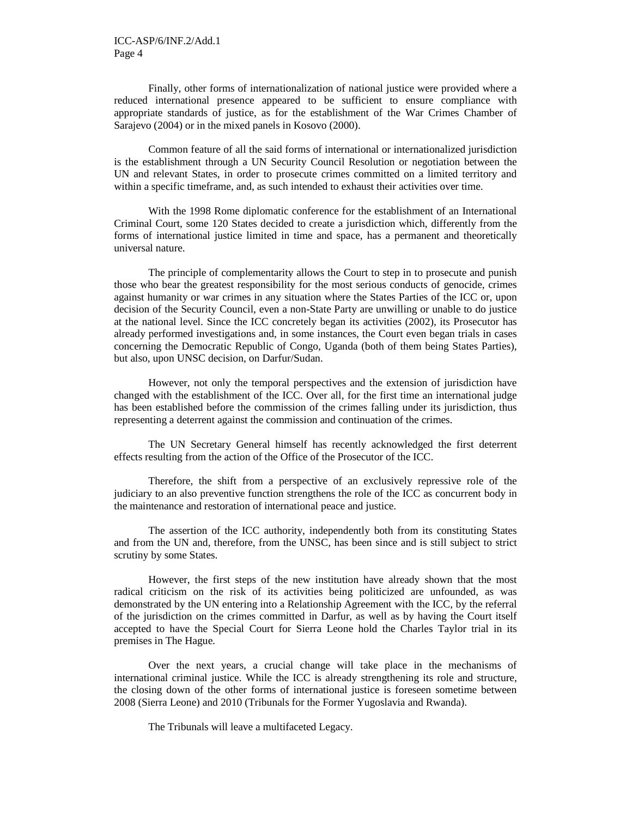Finally, other forms of internationalization of national justice were provided where a reduced international presence appeared to be sufficient to ensure compliance with appropriate standards of justice, as for the establishment of the War Crimes Chamber of Sarajevo (2004) or in the mixed panels in Kosovo (2000).

Common feature of all the said forms of international or internationalized jurisdiction is the establishment through a UN Security Council Resolution or negotiation between the UN and relevant States, in order to prosecute crimes committed on a limited territory and within a specific timeframe, and, as such intended to exhaust their activities over time.

 With the 1998 Rome diplomatic conference for the establishment of an International Criminal Court, some 120 States decided to create a jurisdiction which, differently from the forms of international justice limited in time and space, has a permanent and theoretically universal nature.

The principle of complementarity allows the Court to step in to prosecute and punish those who bear the greatest responsibility for the most serious conducts of genocide, crimes against humanity or war crimes in any situation where the States Parties of the ICC or, upon decision of the Security Council, even a non-State Party are unwilling or unable to do justice at the national level. Since the ICC concretely began its activities (2002), its Prosecutor has already performed investigations and, in some instances, the Court even began trials in cases concerning the Democratic Republic of Congo, Uganda (both of them being States Parties), but also, upon UNSC decision, on Darfur/Sudan.

However, not only the temporal perspectives and the extension of jurisdiction have changed with the establishment of the ICC. Over all, for the first time an international judge has been established before the commission of the crimes falling under its jurisdiction, thus representing a deterrent against the commission and continuation of the crimes.

The UN Secretary General himself has recently acknowledged the first deterrent effects resulting from the action of the Office of the Prosecutor of the ICC.

Therefore, the shift from a perspective of an exclusively repressive role of the judiciary to an also preventive function strengthens the role of the ICC as concurrent body in the maintenance and restoration of international peace and justice.

 The assertion of the ICC authority, independently both from its constituting States and from the UN and, therefore, from the UNSC, has been since and is still subject to strict scrutiny by some States.

However, the first steps of the new institution have already shown that the most radical criticism on the risk of its activities being politicized are unfounded, as was demonstrated by the UN entering into a Relationship Agreement with the ICC, by the referral of the jurisdiction on the crimes committed in Darfur, as well as by having the Court itself accepted to have the Special Court for Sierra Leone hold the Charles Taylor trial in its premises in The Hague.

 Over the next years, a crucial change will take place in the mechanisms of international criminal justice. While the ICC is already strengthening its role and structure, the closing down of the other forms of international justice is foreseen sometime between 2008 (Sierra Leone) and 2010 (Tribunals for the Former Yugoslavia and Rwanda).

The Tribunals will leave a multifaceted Legacy.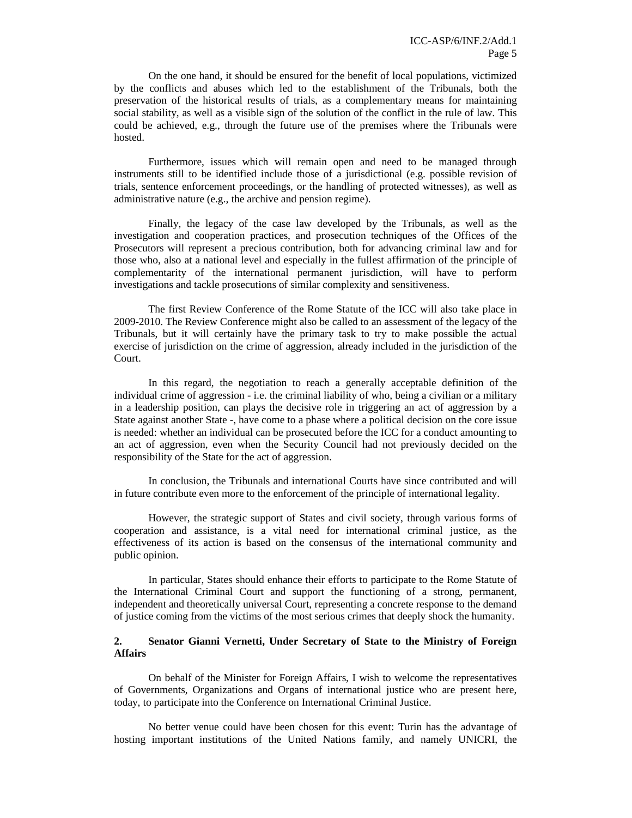On the one hand, it should be ensured for the benefit of local populations, victimized by the conflicts and abuses which led to the establishment of the Tribunals, both the preservation of the historical results of trials, as a complementary means for maintaining social stability, as well as a visible sign of the solution of the conflict in the rule of law. This could be achieved, e.g., through the future use of the premises where the Tribunals were hosted.

Furthermore, issues which will remain open and need to be managed through instruments still to be identified include those of a jurisdictional (e.g. possible revision of trials, sentence enforcement proceedings, or the handling of protected witnesses), as well as administrative nature (e.g., the archive and pension regime).

Finally, the legacy of the case law developed by the Tribunals, as well as the investigation and cooperation practices, and prosecution techniques of the Offices of the Prosecutors will represent a precious contribution, both for advancing criminal law and for those who, also at a national level and especially in the fullest affirmation of the principle of complementarity of the international permanent jurisdiction, will have to perform investigations and tackle prosecutions of similar complexity and sensitiveness.

 The first Review Conference of the Rome Statute of the ICC will also take place in 2009-2010. The Review Conference might also be called to an assessment of the legacy of the Tribunals, but it will certainly have the primary task to try to make possible the actual exercise of jurisdiction on the crime of aggression, already included in the jurisdiction of the Court.

In this regard, the negotiation to reach a generally acceptable definition of the individual crime of aggression - i.e. the criminal liability of who, being a civilian or a military in a leadership position, can plays the decisive role in triggering an act of aggression by a State against another State -, have come to a phase where a political decision on the core issue is needed: whether an individual can be prosecuted before the ICC for a conduct amounting to an act of aggression, even when the Security Council had not previously decided on the responsibility of the State for the act of aggression.

 In conclusion, the Tribunals and international Courts have since contributed and will in future contribute even more to the enforcement of the principle of international legality.

However, the strategic support of States and civil society, through various forms of cooperation and assistance, is a vital need for international criminal justice, as the effectiveness of its action is based on the consensus of the international community and public opinion.

In particular, States should enhance their efforts to participate to the Rome Statute of the International Criminal Court and support the functioning of a strong, permanent, independent and theoretically universal Court, representing a concrete response to the demand of justice coming from the victims of the most serious crimes that deeply shock the humanity.

### **2. Senator Gianni Vernetti, Under Secretary of State to the Ministry of Foreign Affairs**

On behalf of the Minister for Foreign Affairs, I wish to welcome the representatives of Governments, Organizations and Organs of international justice who are present here, today, to participate into the Conference on International Criminal Justice.

No better venue could have been chosen for this event: Turin has the advantage of hosting important institutions of the United Nations family, and namely UNICRI, the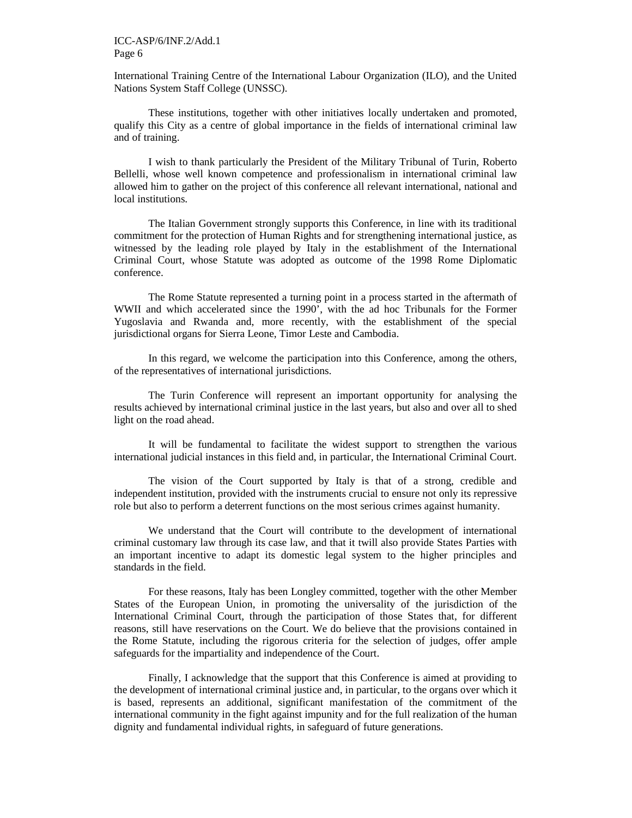#### ICC-ASP/6/INF.2/Add.1 Page 6

International Training Centre of the International Labour Organization (ILO), and the United Nations System Staff College (UNSSC).

These institutions, together with other initiatives locally undertaken and promoted, qualify this City as a centre of global importance in the fields of international criminal law and of training.

I wish to thank particularly the President of the Military Tribunal of Turin, Roberto Bellelli, whose well known competence and professionalism in international criminal law allowed him to gather on the project of this conference all relevant international, national and local institutions.

The Italian Government strongly supports this Conference, in line with its traditional commitment for the protection of Human Rights and for strengthening international justice, as witnessed by the leading role played by Italy in the establishment of the International Criminal Court, whose Statute was adopted as outcome of the 1998 Rome Diplomatic conference.

The Rome Statute represented a turning point in a process started in the aftermath of WWII and which accelerated since the 1990', with the ad hoc Tribunals for the Former Yugoslavia and Rwanda and, more recently, with the establishment of the special jurisdictional organs for Sierra Leone, Timor Leste and Cambodia.

In this regard, we welcome the participation into this Conference, among the others, of the representatives of international jurisdictions.

The Turin Conference will represent an important opportunity for analysing the results achieved by international criminal justice in the last years, but also and over all to shed light on the road ahead.

It will be fundamental to facilitate the widest support to strengthen the various international judicial instances in this field and, in particular, the International Criminal Court.

The vision of the Court supported by Italy is that of a strong, credible and independent institution, provided with the instruments crucial to ensure not only its repressive role but also to perform a deterrent functions on the most serious crimes against humanity.

We understand that the Court will contribute to the development of international criminal customary law through its case law, and that it twill also provide States Parties with an important incentive to adapt its domestic legal system to the higher principles and standards in the field.

For these reasons, Italy has been Longley committed, together with the other Member States of the European Union, in promoting the universality of the jurisdiction of the International Criminal Court, through the participation of those States that, for different reasons, still have reservations on the Court. We do believe that the provisions contained in the Rome Statute, including the rigorous criteria for the selection of judges, offer ample safeguards for the impartiality and independence of the Court.

Finally, I acknowledge that the support that this Conference is aimed at providing to the development of international criminal justice and, in particular, to the organs over which it is based, represents an additional, significant manifestation of the commitment of the international community in the fight against impunity and for the full realization of the human dignity and fundamental individual rights, in safeguard of future generations.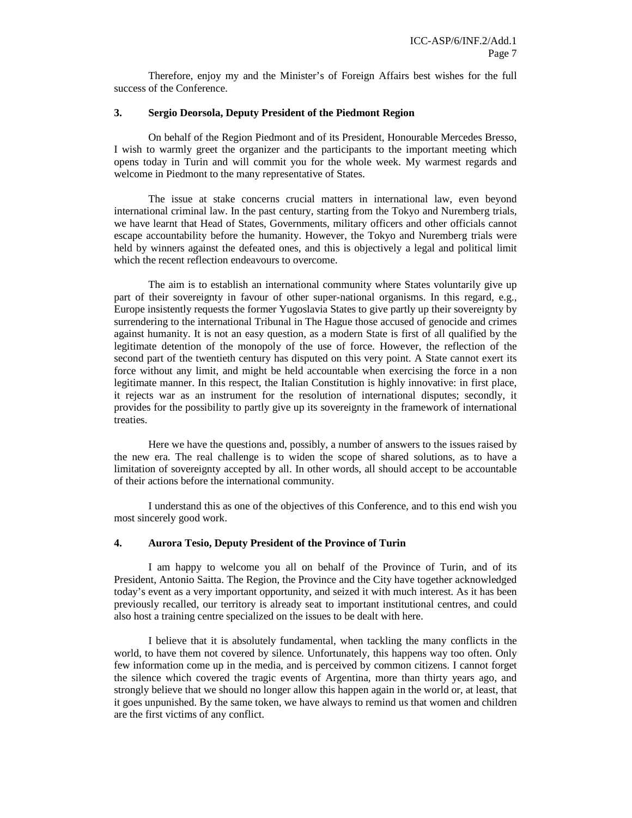Therefore, enjoy my and the Minister's of Foreign Affairs best wishes for the full success of the Conference.

#### **3. Sergio Deorsola, Deputy President of the Piedmont Region**

On behalf of the Region Piedmont and of its President, Honourable Mercedes Bresso, I wish to warmly greet the organizer and the participants to the important meeting which opens today in Turin and will commit you for the whole week. My warmest regards and welcome in Piedmont to the many representative of States.

The issue at stake concerns crucial matters in international law, even beyond international criminal law. In the past century, starting from the Tokyo and Nuremberg trials, we have learnt that Head of States, Governments, military officers and other officials cannot escape accountability before the humanity. However, the Tokyo and Nuremberg trials were held by winners against the defeated ones, and this is objectively a legal and political limit which the recent reflection endeavours to overcome.

The aim is to establish an international community where States voluntarily give up part of their sovereignty in favour of other super-national organisms. In this regard, e.g., Europe insistently requests the former Yugoslavia States to give partly up their sovereignty by surrendering to the international Tribunal in The Hague those accused of genocide and crimes against humanity. It is not an easy question, as a modern State is first of all qualified by the legitimate detention of the monopoly of the use of force. However, the reflection of the second part of the twentieth century has disputed on this very point. A State cannot exert its force without any limit, and might be held accountable when exercising the force in a non legitimate manner. In this respect, the Italian Constitution is highly innovative: in first place, it rejects war as an instrument for the resolution of international disputes; secondly, it provides for the possibility to partly give up its sovereignty in the framework of international treaties.

Here we have the questions and, possibly, a number of answers to the issues raised by the new era. The real challenge is to widen the scope of shared solutions, as to have a limitation of sovereignty accepted by all. In other words, all should accept to be accountable of their actions before the international community.

I understand this as one of the objectives of this Conference, and to this end wish you most sincerely good work.

#### **4. Aurora Tesio, Deputy President of the Province of Turin**

I am happy to welcome you all on behalf of the Province of Turin, and of its President, Antonio Saitta. The Region, the Province and the City have together acknowledged today's event as a very important opportunity, and seized it with much interest. As it has been previously recalled, our territory is already seat to important institutional centres, and could also host a training centre specialized on the issues to be dealt with here.

I believe that it is absolutely fundamental, when tackling the many conflicts in the world, to have them not covered by silence. Unfortunately, this happens way too often. Only few information come up in the media, and is perceived by common citizens. I cannot forget the silence which covered the tragic events of Argentina, more than thirty years ago, and strongly believe that we should no longer allow this happen again in the world or, at least, that it goes unpunished. By the same token, we have always to remind us that women and children are the first victims of any conflict.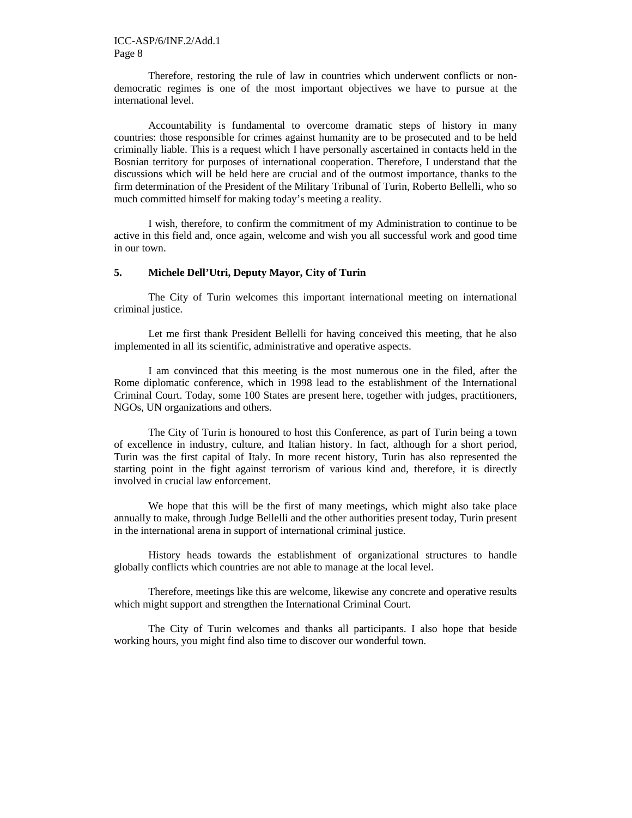Therefore, restoring the rule of law in countries which underwent conflicts or nondemocratic regimes is one of the most important objectives we have to pursue at the international level.

Accountability is fundamental to overcome dramatic steps of history in many countries: those responsible for crimes against humanity are to be prosecuted and to be held criminally liable. This is a request which I have personally ascertained in contacts held in the Bosnian territory for purposes of international cooperation. Therefore, I understand that the discussions which will be held here are crucial and of the outmost importance, thanks to the firm determination of the President of the Military Tribunal of Turin, Roberto Bellelli, who so much committed himself for making today's meeting a reality.

I wish, therefore, to confirm the commitment of my Administration to continue to be active in this field and, once again, welcome and wish you all successful work and good time in our town.

#### **5. Michele Dell'Utri, Deputy Mayor, City of Turin**

The City of Turin welcomes this important international meeting on international criminal justice.

Let me first thank President Bellelli for having conceived this meeting, that he also implemented in all its scientific, administrative and operative aspects.

I am convinced that this meeting is the most numerous one in the filed, after the Rome diplomatic conference, which in 1998 lead to the establishment of the International Criminal Court. Today, some 100 States are present here, together with judges, practitioners, NGOs, UN organizations and others.

The City of Turin is honoured to host this Conference, as part of Turin being a town of excellence in industry, culture, and Italian history. In fact, although for a short period, Turin was the first capital of Italy. In more recent history, Turin has also represented the starting point in the fight against terrorism of various kind and, therefore, it is directly involved in crucial law enforcement.

We hope that this will be the first of many meetings, which might also take place annually to make, through Judge Bellelli and the other authorities present today, Turin present in the international arena in support of international criminal justice.

History heads towards the establishment of organizational structures to handle globally conflicts which countries are not able to manage at the local level.

Therefore, meetings like this are welcome, likewise any concrete and operative results which might support and strengthen the International Criminal Court.

The City of Turin welcomes and thanks all participants. I also hope that beside working hours, you might find also time to discover our wonderful town.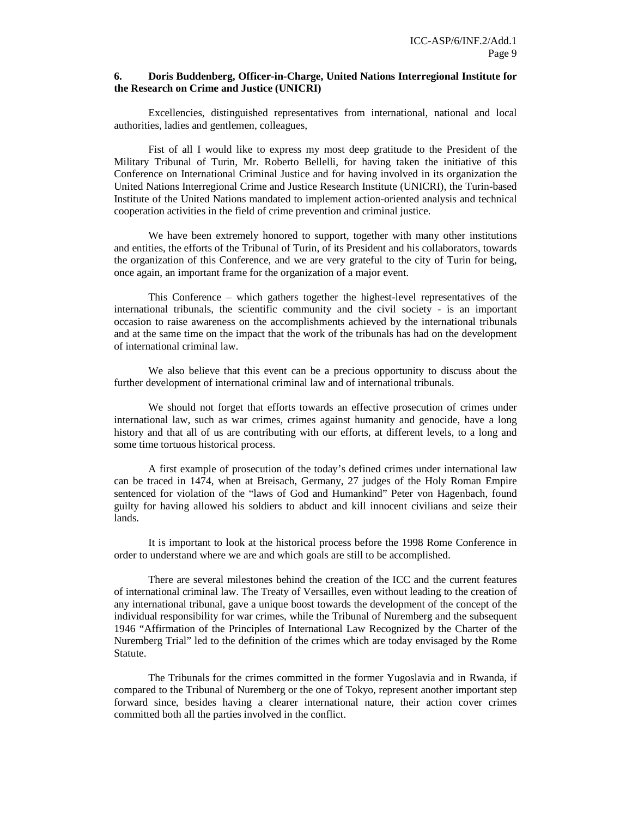#### **6. Doris Buddenberg, Officer-in-Charge, United Nations Interregional Institute for the Research on Crime and Justice (UNICRI)**

Excellencies, distinguished representatives from international, national and local authorities, ladies and gentlemen, colleagues,

Fist of all I would like to express my most deep gratitude to the President of the Military Tribunal of Turin, Mr. Roberto Bellelli, for having taken the initiative of this Conference on International Criminal Justice and for having involved in its organization the United Nations Interregional Crime and Justice Research Institute (UNICRI), the Turin-based Institute of the United Nations mandated to implement action-oriented analysis and technical cooperation activities in the field of crime prevention and criminal justice.

We have been extremely honored to support, together with many other institutions and entities, the efforts of the Tribunal of Turin, of its President and his collaborators, towards the organization of this Conference, and we are very grateful to the city of Turin for being, once again, an important frame for the organization of a major event.

This Conference – which gathers together the highest-level representatives of the international tribunals, the scientific community and the civil society - is an important occasion to raise awareness on the accomplishments achieved by the international tribunals and at the same time on the impact that the work of the tribunals has had on the development of international criminal law.

We also believe that this event can be a precious opportunity to discuss about the further development of international criminal law and of international tribunals.

We should not forget that efforts towards an effective prosecution of crimes under international law, such as war crimes, crimes against humanity and genocide, have a long history and that all of us are contributing with our efforts, at different levels, to a long and some time tortuous historical process.

A first example of prosecution of the today's defined crimes under international law can be traced in 1474, when at Breisach, Germany, 27 judges of the Holy Roman Empire sentenced for violation of the "laws of God and Humankind" Peter von Hagenbach, found guilty for having allowed his soldiers to abduct and kill innocent civilians and seize their lands.

It is important to look at the historical process before the 1998 Rome Conference in order to understand where we are and which goals are still to be accomplished.

There are several milestones behind the creation of the ICC and the current features of international criminal law. The Treaty of Versailles, even without leading to the creation of any international tribunal, gave a unique boost towards the development of the concept of the individual responsibility for war crimes, while the Tribunal of Nuremberg and the subsequent 1946 "Affirmation of the Principles of International Law Recognized by the Charter of the Nuremberg Trial" led to the definition of the crimes which are today envisaged by the Rome Statute.

The Tribunals for the crimes committed in the former Yugoslavia and in Rwanda, if compared to the Tribunal of Nuremberg or the one of Tokyo, represent another important step forward since, besides having a clearer international nature, their action cover crimes committed both all the parties involved in the conflict.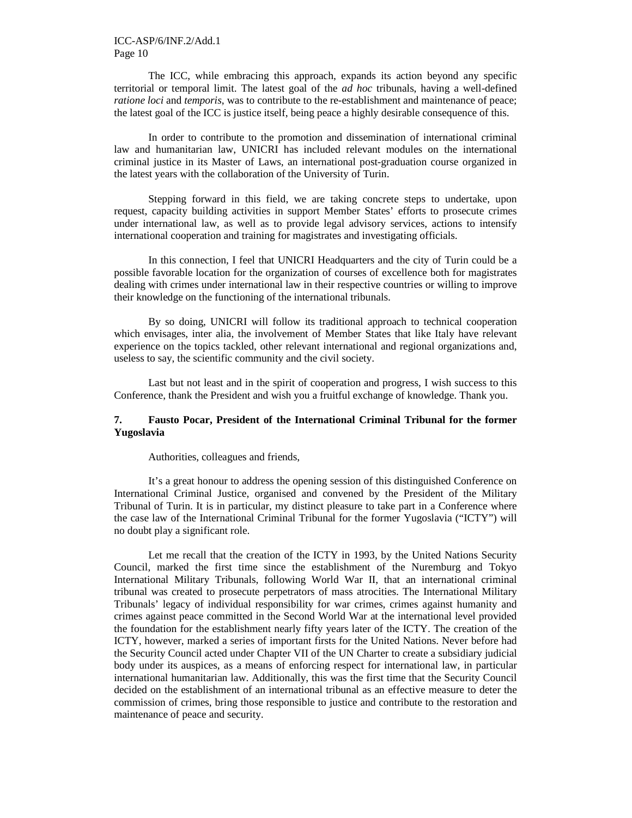The ICC, while embracing this approach, expands its action beyond any specific territorial or temporal limit. The latest goal of the *ad hoc* tribunals, having a well-defined *ratione loci and <i>temporis*, was to contribute to the re-establishment and maintenance of peace; the latest goal of the ICC is justice itself, being peace a highly desirable consequence of this.

In order to contribute to the promotion and dissemination of international criminal law and humanitarian law, UNICRI has included relevant modules on the international criminal justice in its Master of Laws, an international post-graduation course organized in the latest years with the collaboration of the University of Turin.

Stepping forward in this field, we are taking concrete steps to undertake, upon request, capacity building activities in support Member States' efforts to prosecute crimes under international law, as well as to provide legal advisory services, actions to intensify international cooperation and training for magistrates and investigating officials.

In this connection, I feel that UNICRI Headquarters and the city of Turin could be a possible favorable location for the organization of courses of excellence both for magistrates dealing with crimes under international law in their respective countries or willing to improve their knowledge on the functioning of the international tribunals.

By so doing, UNICRI will follow its traditional approach to technical cooperation which envisages, inter alia, the involvement of Member States that like Italy have relevant experience on the topics tackled, other relevant international and regional organizations and, useless to say, the scientific community and the civil society.

Last but not least and in the spirit of cooperation and progress, I wish success to this Conference, thank the President and wish you a fruitful exchange of knowledge. Thank you.

## **7. Fausto Pocar, President of the International Criminal Tribunal for the former Yugoslavia**

Authorities, colleagues and friends,

It's a great honour to address the opening session of this distinguished Conference on International Criminal Justice, organised and convened by the President of the Military Tribunal of Turin. It is in particular, my distinct pleasure to take part in a Conference where the case law of the International Criminal Tribunal for the former Yugoslavia ("ICTY") will no doubt play a significant role.

Let me recall that the creation of the ICTY in 1993, by the United Nations Security Council, marked the first time since the establishment of the Nuremburg and Tokyo International Military Tribunals, following World War II, that an international criminal tribunal was created to prosecute perpetrators of mass atrocities. The International Military Tribunals' legacy of individual responsibility for war crimes, crimes against humanity and crimes against peace committed in the Second World War at the international level provided the foundation for the establishment nearly fifty years later of the ICTY. The creation of the ICTY, however, marked a series of important firsts for the United Nations. Never before had the Security Council acted under Chapter VII of the UN Charter to create a subsidiary judicial body under its auspices, as a means of enforcing respect for international law, in particular international humanitarian law. Additionally, this was the first time that the Security Council decided on the establishment of an international tribunal as an effective measure to deter the commission of crimes, bring those responsible to justice and contribute to the restoration and maintenance of peace and security.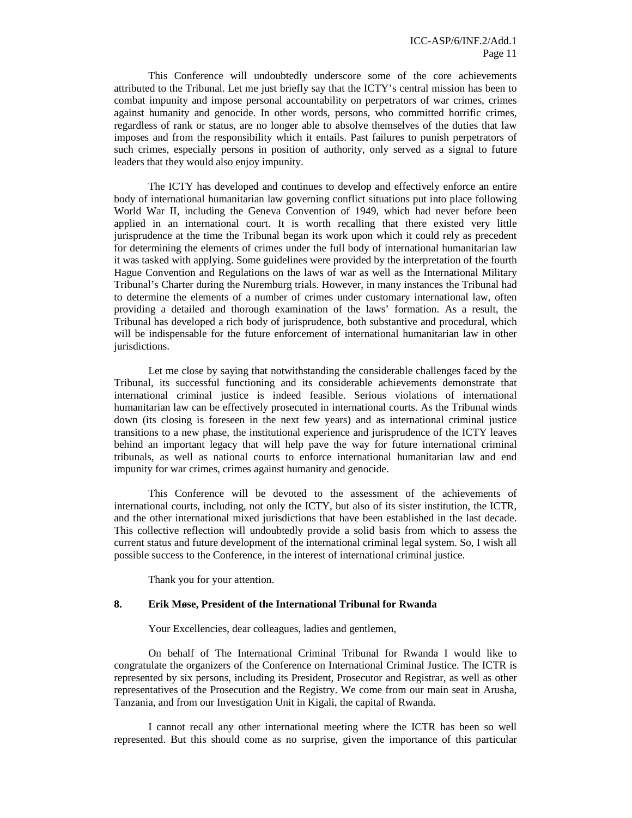This Conference will undoubtedly underscore some of the core achievements attributed to the Tribunal. Let me just briefly say that the ICTY's central mission has been to combat impunity and impose personal accountability on perpetrators of war crimes, crimes against humanity and genocide. In other words, persons, who committed horrific crimes, regardless of rank or status, are no longer able to absolve themselves of the duties that law imposes and from the responsibility which it entails. Past failures to punish perpetrators of such crimes, especially persons in position of authority, only served as a signal to future leaders that they would also enjoy impunity.

The ICTY has developed and continues to develop and effectively enforce an entire body of international humanitarian law governing conflict situations put into place following World War II, including the Geneva Convention of 1949, which had never before been applied in an international court. It is worth recalling that there existed very little jurisprudence at the time the Tribunal began its work upon which it could rely as precedent for determining the elements of crimes under the full body of international humanitarian law it was tasked with applying. Some guidelines were provided by the interpretation of the fourth Hague Convention and Regulations on the laws of war as well as the International Military Tribunal's Charter during the Nuremburg trials. However, in many instances the Tribunal had to determine the elements of a number of crimes under customary international law, often providing a detailed and thorough examination of the laws' formation. As a result, the Tribunal has developed a rich body of jurisprudence, both substantive and procedural, which will be indispensable for the future enforcement of international humanitarian law in other jurisdictions.

Let me close by saying that notwithstanding the considerable challenges faced by the Tribunal, its successful functioning and its considerable achievements demonstrate that international criminal justice is indeed feasible. Serious violations of international humanitarian law can be effectively prosecuted in international courts. As the Tribunal winds down (its closing is foreseen in the next few years) and as international criminal justice transitions to a new phase, the institutional experience and jurisprudence of the ICTY leaves behind an important legacy that will help pave the way for future international criminal tribunals, as well as national courts to enforce international humanitarian law and end impunity for war crimes, crimes against humanity and genocide.

This Conference will be devoted to the assessment of the achievements of international courts, including, not only the ICTY, but also of its sister institution, the ICTR, and the other international mixed jurisdictions that have been established in the last decade. This collective reflection will undoubtedly provide a solid basis from which to assess the current status and future development of the international criminal legal system. So, I wish all possible success to the Conference, in the interest of international criminal justice.

Thank you for your attention.

#### **8. Erik Møse, President of the International Tribunal for Rwanda**

Your Excellencies, dear colleagues, ladies and gentlemen,

On behalf of The International Criminal Tribunal for Rwanda I would like to congratulate the organizers of the Conference on International Criminal Justice. The ICTR is represented by six persons, including its President, Prosecutor and Registrar, as well as other representatives of the Prosecution and the Registry. We come from our main seat in Arusha, Tanzania, and from our Investigation Unit in Kigali, the capital of Rwanda.

I cannot recall any other international meeting where the ICTR has been so well represented. But this should come as no surprise, given the importance of this particular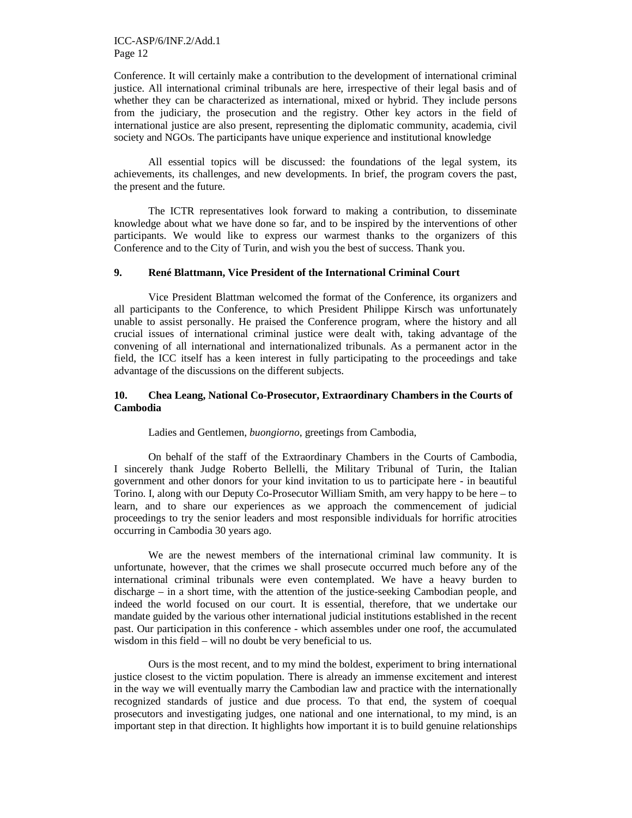Conference. It will certainly make a contribution to the development of international criminal justice. All international criminal tribunals are here, irrespective of their legal basis and of whether they can be characterized as international, mixed or hybrid. They include persons from the judiciary, the prosecution and the registry. Other key actors in the field of international justice are also present, representing the diplomatic community, academia, civil society and NGOs. The participants have unique experience and institutional knowledge

All essential topics will be discussed: the foundations of the legal system, its achievements, its challenges, and new developments. In brief, the program covers the past, the present and the future.

The ICTR representatives look forward to making a contribution, to disseminate knowledge about what we have done so far, and to be inspired by the interventions of other participants. We would like to express our warmest thanks to the organizers of this Conference and to the City of Turin, and wish you the best of success. Thank you.

#### **9. René Blattmann, Vice President of the International Criminal Court**

Vice President Blattman welcomed the format of the Conference, its organizers and all participants to the Conference, to which President Philippe Kirsch was unfortunately unable to assist personally. He praised the Conference program, where the history and all crucial issues of international criminal justice were dealt with, taking advantage of the convening of all international and internationalized tribunals. As a permanent actor in the field, the ICC itself has a keen interest in fully participating to the proceedings and take advantage of the discussions on the different subjects.

#### **10. Chea Leang, National Co-Prosecutor, Extraordinary Chambers in the Courts of Cambodia**

#### Ladies and Gentlemen, *buongiorno*, greetings from Cambodia,

On behalf of the staff of the Extraordinary Chambers in the Courts of Cambodia, I sincerely thank Judge Roberto Bellelli, the Military Tribunal of Turin, the Italian government and other donors for your kind invitation to us to participate here - in beautiful Torino. I, along with our Deputy Co-Prosecutor William Smith, am very happy to be here – to learn, and to share our experiences as we approach the commencement of judicial proceedings to try the senior leaders and most responsible individuals for horrific atrocities occurring in Cambodia 30 years ago.

We are the newest members of the international criminal law community. It is unfortunate, however, that the crimes we shall prosecute occurred much before any of the international criminal tribunals were even contemplated. We have a heavy burden to discharge – in a short time, with the attention of the justice-seeking Cambodian people, and indeed the world focused on our court. It is essential, therefore, that we undertake our mandate guided by the various other international judicial institutions established in the recent past. Our participation in this conference - which assembles under one roof, the accumulated wisdom in this field – will no doubt be very beneficial to us.

Ours is the most recent, and to my mind the boldest, experiment to bring international justice closest to the victim population. There is already an immense excitement and interest in the way we will eventually marry the Cambodian law and practice with the internationally recognized standards of justice and due process. To that end, the system of coequal prosecutors and investigating judges, one national and one international, to my mind, is an important step in that direction. It highlights how important it is to build genuine relationships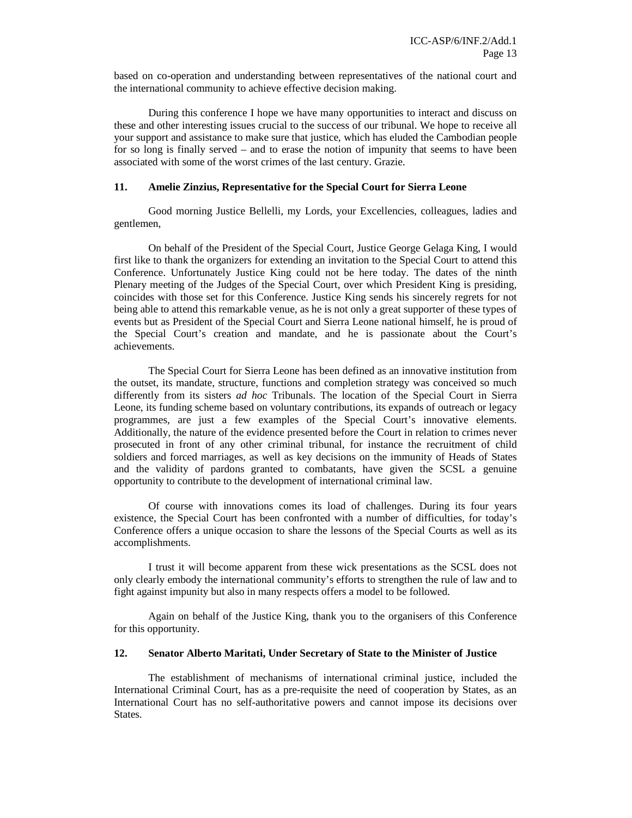based on co-operation and understanding between representatives of the national court and the international community to achieve effective decision making.

During this conference I hope we have many opportunities to interact and discuss on these and other interesting issues crucial to the success of our tribunal. We hope to receive all your support and assistance to make sure that justice, which has eluded the Cambodian people for so long is finally served – and to erase the notion of impunity that seems to have been associated with some of the worst crimes of the last century. Grazie.

#### **11. Amelie Zinzius, Representative for the Special Court for Sierra Leone**

Good morning Justice Bellelli, my Lords, your Excellencies, colleagues, ladies and gentlemen,

On behalf of the President of the Special Court, Justice George Gelaga King, I would first like to thank the organizers for extending an invitation to the Special Court to attend this Conference. Unfortunately Justice King could not be here today. The dates of the ninth Plenary meeting of the Judges of the Special Court, over which President King is presiding, coincides with those set for this Conference. Justice King sends his sincerely regrets for not being able to attend this remarkable venue, as he is not only a great supporter of these types of events but as President of the Special Court and Sierra Leone national himself, he is proud of the Special Court's creation and mandate, and he is passionate about the Court's achievements.

The Special Court for Sierra Leone has been defined as an innovative institution from the outset, its mandate, structure, functions and completion strategy was conceived so much differently from its sisters *ad hoc* Tribunals. The location of the Special Court in Sierra Leone, its funding scheme based on voluntary contributions, its expands of outreach or legacy programmes, are just a few examples of the Special Court's innovative elements. Additionally, the nature of the evidence presented before the Court in relation to crimes never prosecuted in front of any other criminal tribunal, for instance the recruitment of child soldiers and forced marriages, as well as key decisions on the immunity of Heads of States and the validity of pardons granted to combatants, have given the SCSL a genuine opportunity to contribute to the development of international criminal law.

Of course with innovations comes its load of challenges. During its four years existence, the Special Court has been confronted with a number of difficulties, for today's Conference offers a unique occasion to share the lessons of the Special Courts as well as its accomplishments.

I trust it will become apparent from these wick presentations as the SCSL does not only clearly embody the international community's efforts to strengthen the rule of law and to fight against impunity but also in many respects offers a model to be followed.

Again on behalf of the Justice King, thank you to the organisers of this Conference for this opportunity.

# **12. Senator Alberto Maritati, Under Secretary of State to the Minister of Justice**

The establishment of mechanisms of international criminal justice, included the International Criminal Court, has as a pre-requisite the need of cooperation by States, as an International Court has no self-authoritative powers and cannot impose its decisions over States.